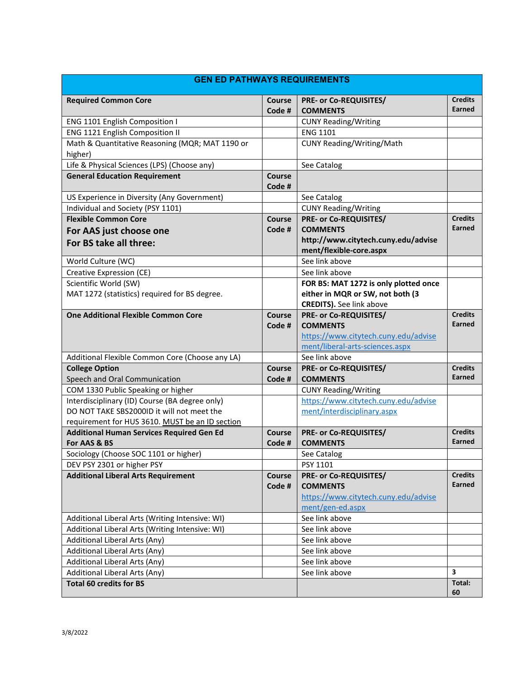<span id="page-0-0"></span>

| <b>GEN ED PATHWAYS REQUIREMENTS</b>                                              |                         |                                                                |                          |
|----------------------------------------------------------------------------------|-------------------------|----------------------------------------------------------------|--------------------------|
| <b>Required Common Core</b>                                                      | <b>Course</b><br>Code # | <b>PRE- or Co-REQUISITES/</b><br><b>COMMENTS</b>               | <b>Credits</b><br>Earned |
| ENG 1101 English Composition I                                                   |                         | <b>CUNY Reading/Writing</b>                                    |                          |
| ENG 1121 English Composition II                                                  |                         | <b>ENG 1101</b>                                                |                          |
| Math & Quantitative Reasoning (MQR; MAT 1190 or<br>higher)                       |                         | <b>CUNY Reading/Writing/Math</b>                               |                          |
| Life & Physical Sciences (LPS) (Choose any)                                      |                         | See Catalog                                                    |                          |
| <b>General Education Requirement</b>                                             | <b>Course</b><br>Code # |                                                                |                          |
| US Experience in Diversity (Any Government)                                      |                         | See Catalog                                                    |                          |
| Individual and Society (PSY 1101)                                                |                         | <b>CUNY Reading/Writing</b>                                    |                          |
| <b>Flexible Common Core</b>                                                      | <b>Course</b>           | PRE- or Co-REQUISITES/                                         | <b>Credits</b>           |
| For AAS just choose one                                                          | Code #                  | <b>COMMENTS</b>                                                | Earned                   |
| For BS take all three:                                                           |                         | http://www.citytech.cuny.edu/advise<br>ment/flexible-core.aspx |                          |
| World Culture (WC)                                                               |                         | See link above                                                 |                          |
| Creative Expression (CE)                                                         |                         | See link above                                                 |                          |
| Scientific World (SW)                                                            |                         | FOR BS: MAT 1272 is only plotted once                          |                          |
| MAT 1272 (statistics) required for BS degree.                                    |                         | either in MQR or SW, not both (3                               |                          |
|                                                                                  |                         | <b>CREDITS).</b> See link above                                |                          |
| <b>One Additional Flexible Common Core</b>                                       | Course                  | PRE- or Co-REQUISITES/                                         | <b>Credits</b>           |
|                                                                                  | Code #                  | <b>COMMENTS</b>                                                | Earned                   |
|                                                                                  |                         | https://www.citytech.cuny.edu/advise                           |                          |
| Additional Flexible Common Core (Choose any LA)                                  |                         | ment/liberal-arts-sciences.aspx<br>See link above              |                          |
| <b>College Option</b>                                                            | Course                  | <b>PRE- or Co-REQUISITES/</b>                                  | <b>Credits</b>           |
| Speech and Oral Communication                                                    | Code #                  | <b>COMMENTS</b>                                                | Earned                   |
| COM 1330 Public Speaking or higher                                               |                         | <b>CUNY Reading/Writing</b>                                    |                          |
| Interdisciplinary (ID) Course (BA degree only)                                   |                         | https://www.citytech.cuny.edu/advise                           |                          |
| DO NOT TAKE SBS2000ID it will not meet the                                       |                         | ment/interdisciplinary.aspx                                    |                          |
| requirement for HUS 3610. MUST be an ID section                                  |                         |                                                                |                          |
| <b>Additional Human Services Required Gen Ed</b>                                 | Course                  | <b>PRE- or Co-REQUISITES/</b>                                  | <b>Credits</b>           |
| For AAS & BS                                                                     | Code #                  | <b>COMMENTS</b>                                                | Earned                   |
| Sociology (Choose SOC 1101 or higher)                                            |                         | See Catalog                                                    |                          |
| DEV PSY 2301 or higher PSY                                                       |                         | PSY 1101                                                       |                          |
| <b>Additional Liberal Arts Requirement</b>                                       | Course                  | <b>PRE- or Co-REQUISITES/</b>                                  | <b>Credits</b>           |
|                                                                                  | Code #                  | <b>COMMENTS</b>                                                | <b>Earned</b>            |
|                                                                                  |                         | https://www.citytech.cuny.edu/advise                           |                          |
|                                                                                  |                         | ment/gen-ed.aspx                                               |                          |
| Additional Liberal Arts (Writing Intensive: WI)                                  |                         | See link above                                                 |                          |
| Additional Liberal Arts (Writing Intensive: WI)<br>Additional Liberal Arts (Any) |                         | See link above<br>See link above                               |                          |
| Additional Liberal Arts (Any)                                                    |                         | See link above                                                 |                          |
| Additional Liberal Arts (Any)                                                    |                         | See link above                                                 |                          |
| Additional Liberal Arts (Any)                                                    |                         | See link above                                                 | 3                        |
| <b>Total 60 credits for BS</b>                                                   |                         |                                                                | Total:                   |
|                                                                                  |                         |                                                                | 60                       |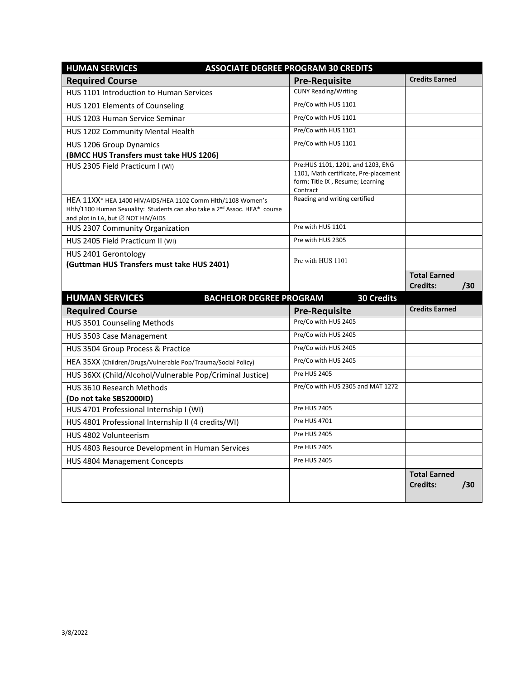| <b>HUMAN SERVICES</b>                                                                                                                                                                       | <b>ASSOCIATE DEGREE PROGRAM 30 CREDITS</b>                                                                                  |                                        |     |
|---------------------------------------------------------------------------------------------------------------------------------------------------------------------------------------------|-----------------------------------------------------------------------------------------------------------------------------|----------------------------------------|-----|
| <b>Required Course</b>                                                                                                                                                                      | <b>Pre-Requisite</b>                                                                                                        | <b>Credits Earned</b>                  |     |
| HUS 1101 Introduction to Human Services                                                                                                                                                     | <b>CUNY Reading/Writing</b>                                                                                                 |                                        |     |
| HUS 1201 Elements of Counseling                                                                                                                                                             | Pre/Co with HUS 1101                                                                                                        |                                        |     |
| HUS 1203 Human Service Seminar                                                                                                                                                              | Pre/Co with HUS 1101                                                                                                        |                                        |     |
| HUS 1202 Community Mental Health                                                                                                                                                            | Pre/Co with HUS 1101                                                                                                        |                                        |     |
| HUS 1206 Group Dynamics                                                                                                                                                                     | Pre/Co with HUS 1101                                                                                                        |                                        |     |
| (BMCC HUS Transfers must take HUS 1206)                                                                                                                                                     |                                                                                                                             |                                        |     |
| HUS 2305 Field Practicum I (WI)                                                                                                                                                             | Pre: HUS 1101, 1201, and 1203, ENG<br>1101, Math certificate, Pre-placement<br>form; Title IX, Resume; Learning<br>Contract |                                        |     |
| HEA 11XX* HEA 1400 HIV/AIDS/HEA 1102 Comm Hlth/1108 Women's<br>Hlth/1100 Human Sexuality: Students can also take a 2 <sup>nd</sup> Assoc. HEA* course<br>and plot in LA, but ∅ NOT HIV/AIDS | Reading and writing certified                                                                                               |                                        |     |
| HUS 2307 Community Organization                                                                                                                                                             | Pre with HUS 1101                                                                                                           |                                        |     |
| HUS 2405 Field Practicum II (WI)                                                                                                                                                            | Pre with HUS 2305                                                                                                           |                                        |     |
| HUS 2401 Gerontology<br>(Guttman HUS Transfers must take HUS 2401)                                                                                                                          | Pre with HUS 1101                                                                                                           |                                        |     |
|                                                                                                                                                                                             |                                                                                                                             | <b>Total Earned</b><br><b>Credits:</b> | /30 |
| <b>HUMAN SERVICES</b><br><b>BACHELOR DEGREE PROGRAM</b>                                                                                                                                     | <b>30 Credits</b>                                                                                                           |                                        |     |
| <b>Required Course</b>                                                                                                                                                                      | <b>Pre-Requisite</b>                                                                                                        | <b>Credits Earned</b>                  |     |
| HUS 3501 Counseling Methods                                                                                                                                                                 | Pre/Co with HUS 2405                                                                                                        |                                        |     |
| HUS 3503 Case Management                                                                                                                                                                    | Pre/Co with HUS 2405                                                                                                        |                                        |     |
| HUS 3504 Group Process & Practice                                                                                                                                                           | Pre/Co with HUS 2405                                                                                                        |                                        |     |
| HEA 35XX (Children/Drugs/Vulnerable Pop/Trauma/Social Policy)                                                                                                                               | Pre/Co with HUS 2405                                                                                                        |                                        |     |
| HUS 36XX (Child/Alcohol/Vulnerable Pop/Criminal Justice)                                                                                                                                    | <b>Pre HUS 2405</b>                                                                                                         |                                        |     |
| <b>HUS 3610 Research Methods</b>                                                                                                                                                            | Pre/Co with HUS 2305 and MAT 1272                                                                                           |                                        |     |
| (Do not take SBS2000ID)                                                                                                                                                                     |                                                                                                                             |                                        |     |
| HUS 4701 Professional Internship I (WI)                                                                                                                                                     | <b>Pre HUS 2405</b>                                                                                                         |                                        |     |
| HUS 4801 Professional Internship II (4 credits/WI)                                                                                                                                          | Pre HUS 4701                                                                                                                |                                        |     |
| HUS 4802 Volunteerism                                                                                                                                                                       | Pre HUS 2405                                                                                                                |                                        |     |
| HUS 4803 Resource Development in Human Services                                                                                                                                             | Pre HUS 2405                                                                                                                |                                        |     |
| HUS 4804 Management Concepts                                                                                                                                                                | Pre HUS 2405                                                                                                                |                                        |     |
|                                                                                                                                                                                             |                                                                                                                             | <b>Total Earned</b><br><b>Credits:</b> | /30 |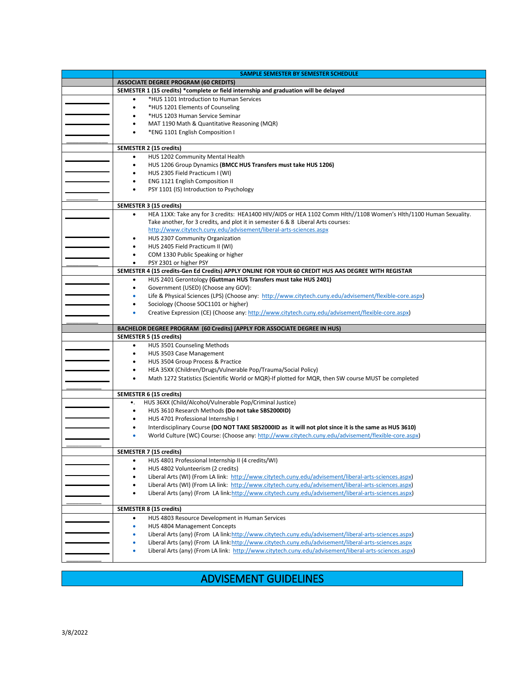| SAMPLE SEMESTER BY SEMESTER SCHEDULE                                                                                   |
|------------------------------------------------------------------------------------------------------------------------|
| <b>ASSOCIATE DEGREE PROGRAM (60 CREDITS)</b>                                                                           |
| SEMESTER 1 (15 credits) *complete or field internship and graduation will be delayed                                   |
| *HUS 1101 Introduction to Human Services<br>$\bullet$                                                                  |
| *HUS 1201 Elements of Counseling<br>٠                                                                                  |
| *HUS 1203 Human Service Seminar<br>٠                                                                                   |
| MAT 1190 Math & Quantitative Reasoning (MQR)                                                                           |
| *ENG 1101 English Composition I                                                                                        |
|                                                                                                                        |
| SEMESTER 2 (15 credits)                                                                                                |
| HUS 1202 Community Mental Health<br>$\bullet$                                                                          |
| HUS 1206 Group Dynamics (BMCC HUS Transfers must take HUS 1206)<br>٠                                                   |
| HUS 2305 Field Practicum I (WI)                                                                                        |
| ENG 1121 English Composition II<br>٠                                                                                   |
| PSY 1101 (IS) Introduction to Psychology<br>٠                                                                          |
|                                                                                                                        |
| SEMESTER 3 (15 credits)                                                                                                |
| HEA 11XX: Take any for 3 credits: HEA1400 HIV/AIDS or HEA 1102 Comm Hlth//1108 Women's Hlth/1100 Human Sexuality.<br>٠ |
| Take another, for 3 credits, and plot it in semester 6 & 8 Liberal Arts courses:                                       |
| http://www.citytech.cuny.edu/advisement/liberal-arts-sciences.aspx<br>HUS 2307 Community Organization                  |
| HUS 2405 Field Practicum II (WI)                                                                                       |
| COM 1330 Public Speaking or higher<br>٠                                                                                |
| PSY 2301 or higher PSY<br>$\bullet$                                                                                    |
| SEMESTER 4 (15 credits-Gen Ed Credits) APPLY ONLINE FOR YOUR 60 CREDIT HUS AAS DEGREE WITH REGISTAR                    |
| HUS 2401 Gerontology (Guttman HUS Transfers must take HUS 2401)<br>٠                                                   |
| Government (USED) (Choose any GOV):<br>٠                                                                               |
| Life & Physical Sciences (LPS) (Choose any: http://www.citytech.cuny.edu/advisement/flexible-core.aspx)<br>٠           |
| Sociology (Choose SOC1101 or higher)<br>٠                                                                              |
| Creative Expression (CE) (Choose any: http://www.citytech.cuny.edu/advisement/flexible-core.aspx)<br>۰                 |
|                                                                                                                        |
| BACHELOR DEGREE PROGRAM (60 Credits) (APPLY FOR ASSOCIATE DEGREE IN HUS)                                               |
|                                                                                                                        |
| <b>SEMESTER 5 (15 credits)</b>                                                                                         |
| HUS 3501 Counseling Methods<br>$\bullet$                                                                               |
| HUS 3503 Case Management<br>$\bullet$                                                                                  |
| HUS 3504 Group Process & Practice<br>٠                                                                                 |
| HEA 35XX (Children/Drugs/Vulnerable Pop/Trauma/Social Policy)<br>٠                                                     |
| Math 1272 Statistics (Scientific World or MQR)-If plotted for MQR, then SW course MUST be completed                    |
|                                                                                                                        |
| SEMESTER 6 (15 credits)                                                                                                |
| HUS 36XX (Child/Alcohol/Vulnerable Pop/Criminal Justice)<br>٠.                                                         |
| HUS 3610 Research Methods (Do not take SBS2000ID)<br>$\bullet$                                                         |
| HUS 4701 Professional Internship I                                                                                     |
| Interdisciplinary Course (DO NOT TAKE SBS2000ID as it will not plot since it is the same as HUS 3610)<br>ò             |
| World Culture (WC) Course: (Choose any: http://www.citytech.cuny.edu/advisement/flexible-core.aspx)                    |
| SEMESTER 7 (15 credits)                                                                                                |
| HUS 4801 Professional Internship II (4 credits/WI)<br>٠                                                                |
| HUS 4802 Volunteerism (2 credits)<br>٠                                                                                 |
| Liberal Arts (WI) (From LA link: http://www.citytech.cuny.edu/advisement/liberal-arts-sciences.aspx)                   |
| Liberal Arts (WI) (From LA link: http://www.citytech.cuny.edu/advisement/liberal-arts-sciences.aspx)                   |
| Liberal Arts (any) (From LA link:http://www.citytech.cuny.edu/advisement/liberal-arts-sciences.aspx)                   |
|                                                                                                                        |
| <b>SEMESTER 8 (15 credits)</b>                                                                                         |
| HUS 4803 Resource Development in Human Services<br>٠                                                                   |
| HUS 4804 Management Concepts<br>۰                                                                                      |
| Liberal Arts (any) (From LA link:http://www.citytech.cuny.edu/advisement/liberal-arts-sciences.aspx)<br>۰              |
| Liberal Arts (any) (From LA link:http://www.citytech.cuny.edu/advisement/liberal-arts-sciences.aspx                    |
| Liberal Arts (any) (From LA link: http://www.citytech.cuny.edu/advisement/liberal-arts-sciences.aspx)                  |

## ADVISEMENT GUIDELINES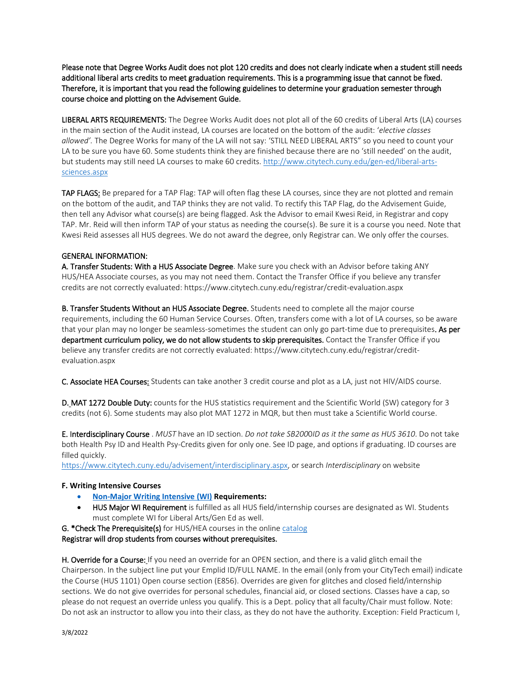Please note that Degree Works Audit does not plot 120 credits and does not clearly indicate when a student still needs additional liberal arts credits to meet graduation requirements. This is a programming issue that cannot be fixed. Therefore, it is important that you read the following guidelines to determine your graduation semester through course choice and plotting on the Advisement Guide.

LIBERAL ARTS REQUIREMENTS: The Degree Works Audit does not plot all of the 60 credits of Liberal Arts (LA) courses in the main section of the Audit instead, LA courses are located on the bottom of the audit: '*elective classes allowed'.* The Degree Works for many of the LA will not say: 'STILL NEED LIBERAL ARTS" so you need to count your LA to be sure you have 60. Some students think they are finished because there are no 'still needed' on the audit, but students may still need LA courses to make 60 credits. [http://www.citytech.cuny.edu/gen-ed/liberal-arts](#page-0-0)[sciences.aspx](#page-0-0)

TAP FLAGS: Be prepared for a TAP Flag: TAP will often flag these LA courses, since they are not plotted and remain on the bottom of the audit, and TAP thinks they are not valid. To rectify this TAP Flag, do the Advisement Guide, then tell any Advisor what course(s) are being flagged. Ask the Advisor to email Kwesi Reid, in Registrar and copy TAP. Mr. Reid will then inform TAP of your status as needing the course(s). Be sure it is a course you need. Note that Kwesi Reid assesses all HUS degrees. We do not award the degree, only Registrar can. We only offer the courses.

## GENERAL INFORMATION:

A. Transfer Students: With a HUS Associate Degree. Make sure you check with an Advisor before taking ANY HUS/HEA Associate courses, as you may not need them. Contact the Transfer Office if you believe any transfer credits are not correctly evaluated: https://www.citytech.cuny.edu/registrar/credit-evaluation.aspx

B. Transfer Students Without an HUS Associate Degree. Students need to complete all the major course requirements, including the 60 Human Service Courses. Often, transfers come with a lot of LA courses, so be aware that your plan may no longer be seamless-sometimes the student can only go part-time due to prerequisites. As per department curriculum policy, we do not allow students to skip prerequisites. Contact the Transfer Office if you believe any transfer credits are not correctly evaluated: https://www.citytech.cuny.edu/registrar/creditevaluation.aspx

C. Associate HEA Courses: Students can take another 3 credit course and plot as a LA, just not HIV/AIDS course.

D. MAT 1272 Double Duty: counts for the HUS statistics requirement and the Scientific World (SW) category for 3 credits (not 6). Some students may also plot MAT 1272 in MQR, but then must take a Scientific World course.

E. Interdisciplinary Course . *MUST* have an ID section. *Do not take SB200*0*ID as it the same as HUS 3610*. Do not take both Health Psy ID and Health Psy-Credits given for only one. See ID page, and options if graduating. ID courses are filled quickly.

[https://www.citytech.cuny.edu/advisement/interdisciplinary.aspx,](https://www.citytech.cuny.edu/advisement/interdisciplinary.aspx) or search *Interdisciplinary* on website

## **F. Writing Intensive Courses**

- **[Non-Major Writing Intensive \(WI\)](http://www.citytech.cuny.edu/advisement/gen-ed.aspx) Requirements:**
- HUS Major WI Requirement is fulfilled as all HUS field/internship courses are designated as WI. Students must complete WI for Liberal Arts/Gen Ed as well.

G. [\\*Check The Prerequisite\(s\)](http://www.citytech.cuny.edu/academics/academic-catalog.aspx) for HUS/HEA courses in the onlin[e catalog](https://www.citytech.cuny.edu/academics/academic-catalog.aspx)

Registrar will drop students from courses without prerequisites.

H. Override for a Course: If you need an override for an OPEN section, and there is a valid glitch email the Chairperson. In the subject line put your Emplid ID/FULL NAME. In the email (only from your CityTech email) indicate the Course (HUS 1101) Open course section (E856). Overrides are given for glitches and closed field/internship sections. We do not give overrides for personal schedules, financial aid, or closed sections. Classes have a cap, so please do not request an override unless you qualify. This is a Dept. policy that all faculty/Chair must follow. Note: Do not ask an instructor to allow you into their class, as they do not have the authority. Exception: Field Practicum I,